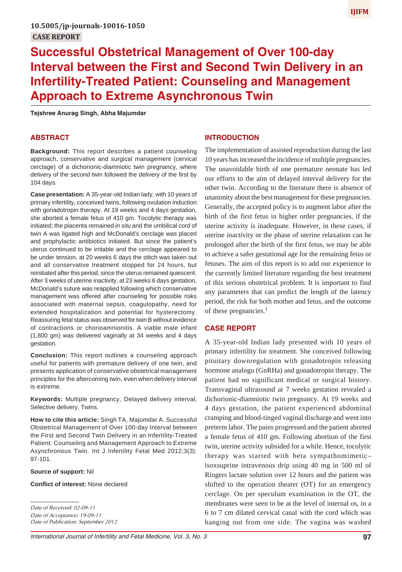# **IJIFM**

# **Successful Obstetrical Management of Over 100-day Interval between the First and Second Twin Delivery in an Infertility-Treated Patient: Counseling and Management Approach to Extreme Asynchronous Twin**

**Tejshree Anurag Singh, Abha Majumdar**

## **ABSTRACT**

**Background:** This report describes a patient counseling approach, conservative and surgical management (cervical cerclage) of a dichorionic-diamniotic twin pregnancy, where delivery of the second twin followed the delivery of the first by 104 days.

**Case presentation:** A 35-year-old Indian lady, with 10 years of primary infertility, conceived twins, following ovulation induction with gonadotropin therapy. At 19 weeks and 4 days gestation, she aborted a female fetus of 410 gm. Tocolytic therapy was initiated; the placenta remained *in situ* and the umbilical cord of twin A was ligated high and McDonald's cerclage was placed and prophylactic antibiotics initiated. But since the patient's uterus continued to be irritable and the cerclage appeared to be under tension, at 20 weeks 6 days the stitch was taken out and all conservative treatment stopped for 24 hours, but reinitiated after this period, since the uterus remained quiescent. After 3 weeks of uterine inactivity, at 23 weeks 6 days gestation, McDonald's suture was reapplied following which conservative management was offered after counseling for possible risks associated with maternal sepsis, coagulopathy, need for extended hospitalization and potential for hysterectomy. Reassuring fetal status was observed for twin B without evidence of contractions or chorioamnionitis. A viable male infant (1,800 gm) was delivered vaginally at 34 weeks and 4 days gestation.

**Conclusion:** This report outlines a counseling approach useful for patients with premature delivery of one twin, and presents application of conservative obstetrical management principles for the aftercoming twin, even when delivery interval is extreme.

**Keywords:** Multiple pregnancy, Delayed delivery interval, Selective delivery, Twins.

**How to cite this article:** Singh TA, Majumdar A. Successful Obstetrical Management of Over 100-day Interval between the First and Second Twin Delivery in an Infertility-Treated Patient: Counseling and Management Approach to Extreme Asynchronous Twin. Int J Infertility Fetal Med 2012;3(3): 97-101.

#### **Source of support:** Nil

**Conflict of interest:** None declared

#### **INTRODUCTION**

The implementation of assisted reproduction during the last 10 years has increased the incidence of multiple pregnancies. The unavoidable birth of one premature neonate has led our efforts to the aim of delayed interval delivery for the other twin. According to the literature there is absence of unanimity about the best management for these pregnancies. Generally, the accepted policy is to augment labor after the birth of the first fetus in higher order pregnancies, if the uterine activity is inadequate. However, in these cases, if uterine inactivity or the phase of uterine relaxation can be prolonged after the birth of the first fetus, we may be able to achieve a safer gestational age for the remaining fetus or fetuses. The aim of this report is to add our experience to the currently limited literature regarding the best treatment of this serious obstetrical problem. It is important to find any parameters that can predict the length of the latency period, the risk for both mother and fetus, and the outcome of these pregnancies. $<sup>1</sup>$ </sup>

#### **CASE REPORT**

A 35-year-old Indian lady presented with 10 years of primary infertility for treatment. She conceived following pituitary downregulation with gonadotropin releasing hormone analogu (GnRHa) and gonadotropin therapy. The patient had no significant medical or surgical history. Transvaginal ultrasound at 7 weeks gestation revealed a dichorionic-diamniotic twin pregnancy. At 19 weeks and 4 days gestation, the patient experienced abdominal cramping and blood-tinged vaginal discharge and went into preterm labor. The pains progressed and the patient aborted a female fetus of 410 gm. Following abortion of the first twin, uterine activity subsided for a while. Hence, tocolytic therapy was started with beta sympathomimetic– isoxsuprine intravenous drip using 40 mg in 500 ml of Ringers lactate solution over 12 hours and the patient was shifted to the operation theater (OT) for an emergency cerclage. On per speculum examination in the OT, the membranes were seen to be at the level of internal os, in a 6 to 7 cm dilated cervical canal with the cord which was hanging out from one side. The vagina was washed

*Date of Received: 02-09-11 Date of Acceptance: 19-09-11 Date of Publication: September 2012*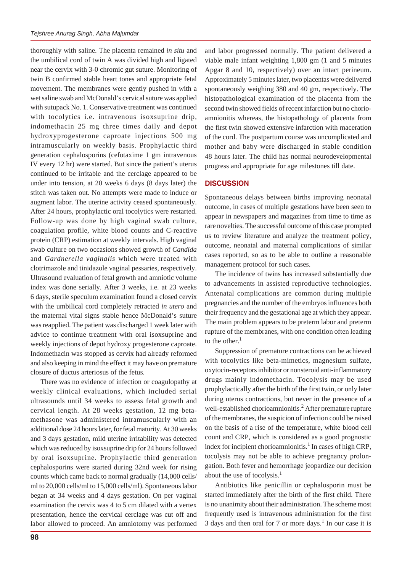thoroughly with saline. The placenta remained *in situ* and the umbilical cord of twin A was divided high and ligated near the cervix with 3-0 chromic gut suture. Monitoring of twin B confirmed stable heart tones and appropriate fetal movement. The membranes were gently pushed in with a wet saline swab and McDonald's cervical suture was applied with sutupack No. 1. Conservative treatment was continued with tocolytics i.e. intravenous isoxsuprine drip, indomethacin 25 mg three times daily and depot hydroxyprogesterone caproate injections 500 mg intramuscularly on weekly basis. Prophylactic third generation cephalosporins (cefotaxime 1 gm intravenous IV every 12 hr) were started. But since the patient's uterus continued to be irritable and the cerclage appeared to be under into tension, at 20 weeks 6 days (8 days later) the stitch was taken out. No attempts were made to induce or augment labor. The uterine activity ceased spontaneously. After 24 hours, prophylactic oral tocolytics were restarted. Follow-up was done by high vaginal swab culture, coagulation profile, white blood counts and C-reactive protein (CRP) estimation at weekly intervals. High vaginal swab culture on two occasions showed growth of *Candida* and *Gardnerella vaginalis* which were treated with clotrimazole and tinidazole vaginal pessaries, respectively. Ultrasound evaluation of fetal growth and amniotic volume index was done serially. After 3 weeks, i.e. at 23 weeks 6 days, sterile speculum examination found a closed cervix with the umbilical cord completely retracted *in utero* and the maternal vital signs stable hence McDonald's suture was reapplied. The patient was discharged 1 week later with advice to continue treatment with oral isoxsuprine and weekly injections of depot hydroxy progesterone caproate. Indomethacin was stopped as cervix had already reformed and also keeping in mind the effect it may have on premature closure of ductus arteriosus of the fetus.

There was no evidence of infection or coagulopathy at weekly clinical evaluations, which included serial ultrasounds until 34 weeks to assess fetal growth and cervical length. At 28 weeks gestation, 12 mg betamethasone was administered intramuscularly with an additional dose 24 hours later, for fetal maturity. At 30 weeks and 3 days gestation, mild uterine irritability was detected which was reduced by isoxsuprine drip for 24 hours followed by oral isoxsuprine. Prophylactic third generation cephalosporins were started during 32nd week for rising counts which came back to normal gradually (14,000 cells/ ml to 20,000 cells/ml to 15,000 cells/ml). Spontaneous labor began at 34 weeks and 4 days gestation. On per vaginal examination the cervix was 4 to 5 cm dilated with a vertex presentation, hence the cervical cerclage was cut off and labor allowed to proceed. An amniotomy was performed

and labor progressed normally. The patient delivered a viable male infant weighting 1,800 gm (1 and 5 minutes Apgar 8 and 10, respectively) over an intact perineum. Approximately 5 minutes later, two placentas were delivered spontaneously weighing 380 and 40 gm, respectively. The histopathological examination of the placenta from the second twin showed fields of recent infarction but no chorioamnionitis whereas, the histopathology of placenta from the first twin showed extensive infarction with maceration of the cord. The postpartum course was uncomplicated and mother and baby were discharged in stable condition 48 hours later. The child has normal neurodevelopmental progress and appropriate for age milestones till date.

#### **DISCUSSION**

Spontaneous delays between births improving neonatal outcome, in cases of multiple gestations have been seen to appear in newspapers and magazines from time to time as rare novelties. The successful outcome of this case prompted us to review literature and analyze the treatment policy, outcome, neonatal and maternal complications of similar cases reported, so as to be able to outline a reasonable management protocol for such cases.

The incidence of twins has increased substantially due to advancements in assisted reproductive technologies. Antenatal complications are common during multiple pregnancies and the number of the embryos influences both their frequency and the gestational age at which they appear. The main problem appears to be preterm labor and preterm rupture of the membranes, with one condition often leading to the other. $<sup>1</sup>$ </sup>

Suppression of premature contractions can be achieved with tocolytics like beta-mimetics, magnesium sulfate, oxytocin-receptors inhibitor or nonsteroid anti-inflammatory drugs mainly indomethacin. Tocolysis may be used prophylactically after the birth of the first twin, or only later during uterus contractions, but never in the presence of a well-established chorioamnionitis.<sup>2</sup> After premature rupture of the membranes, the suspicion of infection could be raised on the basis of a rise of the temperature, white blood cell count and CRP, which is considered as a good prognostic index for incipient chorioamnionitis.<sup>1</sup> In cases of high CRP, tocolysis may not be able to achieve pregnancy prolongation. Both fever and hemorrhage jeopardize our decision about the use of tocolysis. $<sup>1</sup>$ </sup>

Antibiotics like penicillin or cephalosporin must be started immediately after the birth of the first child. There is no unanimity about their administration. The scheme most frequently used is intravenous administration for the first 3 days and then oral for 7 or more days.<sup>1</sup> In our case it is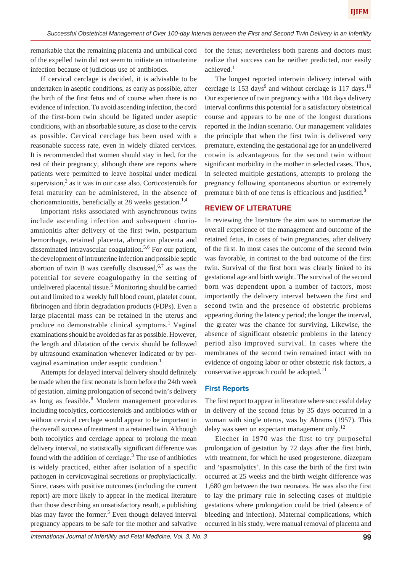remarkable that the remaining placenta and umbilical cord of the expelled twin did not seem to initiate an intrauterine infection because of judicious use of antibiotics.

If cervical cerclage is decided, it is advisable to be undertaken in aseptic conditions, as early as possible, after the birth of the first fetus and of course when there is no evidence of infection. To avoid ascending infection, the cord of the first-born twin should be ligated under aseptic conditions, with an absorbable suture, as close to the cervix as possible. Cervical cerclage has been used with a reasonable success rate, even in widely dilated cervices. It is recommended that women should stay in bed, for the rest of their pregnancy, although there are reports where patients were permitted to leave hospital under medical supervision, $3$  as it was in our case also. Corticosteroids for fetal maturity can be administered, in the absence of chorioamnionitis, beneficially at 28 weeks gestation.<sup>1,4</sup>

Important risks associated with asynchronous twins include ascending infection and subsequent chorioamnionitis after delivery of the first twin, postpartum hemorrhage, retained placenta, abruption placenta and disseminated intravascular coagulation.5,6 For our patient, the development of intrauterine infection and possible septic abortion of twin B was carefully discussed,  $6.7$  as was the potential for severe coagulopathy in the setting of undelivered placental tissue.<sup>5</sup> Monitoring should be carried out and limited to a weekly full blood count, platelet count, fibrinogen and fibrin degradation products (FDPs). Even a large placental mass can be retained in the uterus and produce no demonstrable clinical symptoms.<sup>1</sup> Vaginal examinations should be avoided as far as possible. However, the length and dilatation of the cervix should be followed by ultrasound examination whenever indicated or by pervaginal examination under aseptic condition.<sup>1</sup>

Attempts for delayed interval delivery should definitely be made when the first neonate is born before the 24th week of gestation, aiming prolongation of second twin's delivery as long as feasible.<sup>8</sup> Modern management procedures including tocolytics, corticosteroids and antibiotics with or without cervical cerclage would appear to be important in the overall success of treatment in a retained twin. Although both tocolytics and cerclage appear to prolong the mean delivery interval, no statistically significant difference was found with the addition of cerclage. $3$  The use of antibiotics is widely practiced, either after isolation of a specific pathogen in cervicovaginal secretions or prophylactically. Since, cases with positive outcomes (including the current report) are more likely to appear in the medical literature than those describing an unsatisfactory result, a publishing bias may favor the former.<sup>5</sup> Even though delayed interval pregnancy appears to be safe for the mother and salvative

for the fetus; nevertheless both parents and doctors must realize that success can be neither predicted, nor easily achieved.<sup>1</sup>

The longest reported intertwin delivery interval with cerclage is 153 days<sup>9</sup> and without cerclage is 117 days.<sup>10</sup> Our experience of twin pregnancy with a 104 days delivery interval confirms this potential for a satisfactory obstetrical course and appears to be one of the longest durations reported in the Indian scenario. Our management validates the principle that when the first twin is delivered very premature, extending the gestational age for an undelivered cotwin is advantageous for the second twin without significant morbidity in the mother in selected cases. Thus, in selected multiple gestations, attempts to prolong the pregnancy following spontaneous abortion or extremely premature birth of one fetus is efficacious and justified.<sup>8</sup>

#### **REVIEW OF LITERATURE**

In reviewing the literature the aim was to summarize the overall experience of the management and outcome of the retained fetus, in cases of twin pregnancies, after delivery of the first. In most cases the outcome of the second twin was favorable, in contrast to the bad outcome of the first twin. Survival of the first born was clearly linked to its gestational age and birth weight. The survival of the second born was dependent upon a number of factors, most importantly the delivery interval between the first and second twin and the presence of obstetric problems appearing during the latency period; the longer the interval, the greater was the chance for surviving. Likewise, the absence of significant obstetric problems in the latency period also improved survival. In cases where the membranes of the second twin remained intact with no evidence of ongoing labor or other obstetric risk factors, a conservative approach could be adopted.<sup>11</sup>

#### **First Reports**

The first report to appear in literature where successful delay in delivery of the second fetus by 35 days occurred in a woman with single uterus, was by Abrams (1957). This delay was seen on expectant management only.<sup>12</sup>

Eiecher in 1970 was the first to try purposeful prolongation of gestation by 72 days after the first birth, with treatment, for which he used progesterone, diazepam and 'spasmolytics'. In this case the birth of the first twin occurred at 25 weeks and the birth weight difference was 1,680 gm between the two neonates. He was also the first to lay the primary rule in selecting cases of multiple gestations where prolongation could be tried (absence of bleeding and infection). Maternal complications, which occurred in his study, were manual removal of placenta and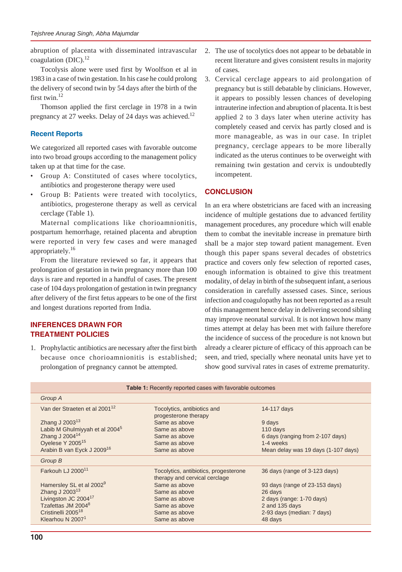abruption of placenta with disseminated intravascular coagulation (DIC). $^{12}$ 

Tocolysis alone were used first by Woolfson et al in 1983 in a case of twin gestation. In his case he could prolong the delivery of second twin by 54 days after the birth of the first twin.<sup>12</sup>

Thomson applied the first cerclage in 1978 in a twin pregnancy at 27 weeks. Delay of 24 days was achieved.<sup>12</sup>

# **Recent Reports**

We categorized all reported cases with favorable outcome into two broad groups according to the management policy taken up at that time for the case.

- Group A: Constituted of cases where tocolytics, antibiotics and progesterone therapy were used
- Group B: Patients were treated with tocolytics, antibiotics, progesterone therapy as well as cervical cerclage (Table 1).

Maternal complications like chorioamnionitis, postpartum hemorrhage, retained placenta and abruption were reported in very few cases and were managed appropriately.<sup>16</sup>

From the literature reviewed so far, it appears that prolongation of gestation in twin pregnancy more than 100 days is rare and reported in a handful of cases. The present case of 104 days prolongation of gestation in twin pregnancy after delivery of the first fetus appears to be one of the first and longest durations reported from India.

# **INFERENCES DRAWN FOR TREATMENT POLICIES**

1. Prophylactic antibiotics are necessary after the first birth because once chorioamnionitis is established; prolongation of pregnancy cannot be attempted.

- 2. The use of tocolytics does not appear to be debatable in recent literature and gives consistent results in majority of cases.
- 3. Cervical cerclage appears to aid prolongation of pregnancy but is still debatable by clinicians. However, it appears to possibly lessen chances of developing intrauterine infection and abruption of placenta. It is best applied 2 to 3 days later when uterine activity has completely ceased and cervix has partly closed and is more manageable, as was in our case. In triplet pregnancy, cerclage appears to be more liberally indicated as the uterus continues to be overweight with remaining twin gestation and cervix is undoubtedly incompetent.

# **CONCLUSION**

In an era where obstetricians are faced with an increasing incidence of multiple gestations due to advanced fertility management procedures, any procedure which will enable them to combat the inevitable increase in premature birth shall be a major step toward patient management. Even though this paper spans several decades of obstetrics practice and covers only few selection of reported cases, enough information is obtained to give this treatment modality, of delay in birth of the subsequent infant, a serious consideration in carefully assessed cases. Since, serious infection and coagulopathy has not been reported as a result of this management hence delay in delivering second sibling may improve neonatal survival. It is not known how many times attempt at delay has been met with failure therefore the incidence of success of the procedure is not known but already a clearer picture of efficacy of this approach can be seen, and tried, specially where neonatal units have yet to show good survival rates in cases of extreme prematurity.

| <b>Table 1:</b> Recently reported cases with favorable outcomes                                        |                                                                        |                                                                                      |
|--------------------------------------------------------------------------------------------------------|------------------------------------------------------------------------|--------------------------------------------------------------------------------------|
| Group A                                                                                                |                                                                        |                                                                                      |
| Van der Straeten et al 2001 <sup>12</sup><br>Zhang J 2003 <sup>13</sup>                                | Tocolytics, antibiotics and<br>progesterone therapy<br>Same as above   | 14-117 days<br>9 days                                                                |
| Labib M Ghulmiyyah et al 2004 <sup>5</sup><br>Zhang J 2004 <sup>14</sup>                               | Same as above<br>Same as above                                         | 110 days                                                                             |
| Oyelese Y 2005 <sup>15</sup><br>Arabin B van Eyck J 2009 <sup>16</sup>                                 | Same as above<br>Same as above                                         | 6 days (ranging from 2-107 days)<br>1-4 weeks<br>Mean delay was 19 days (1-107 days) |
| Group B                                                                                                |                                                                        |                                                                                      |
| Farkouh LJ 2000 <sup>11</sup>                                                                          | Tocolytics, antibiotics, progesterone<br>therapy and cervical cerclage | 36 days (range of 3-123 days)                                                        |
| Hamersley SL et al 2002 <sup>9</sup><br>Zhang J 2003 <sup>13</sup><br>Livingston JC 2004 <sup>17</sup> | Same as above<br>Same as above<br>Same as above                        | 93 days (range of 23-153 days)<br>26 days<br>2 days (range: 1-70 days)               |
| Tzafettas JM 20048<br>Cristinelli 2005 <sup>18</sup><br>Klearhou N 2007 <sup>1</sup>                   | Same as above<br>Same as above<br>Same as above                        | 2 and 135 days<br>2-93 days (median: 7 days)<br>48 days                              |